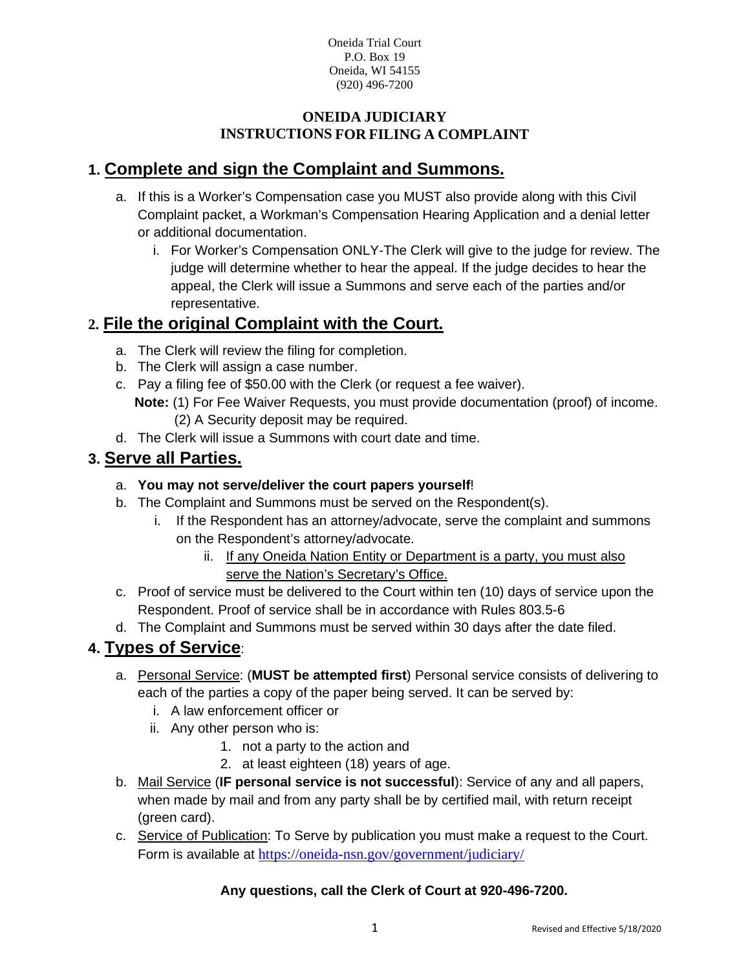## **ONEIDA JUDICIARY INSTRUCTIONS FOR FILING A COMPLAINT**

## **1. Complete and sign the Complaint and Summons.**

- a. If this is a Worker's Compensation case you MUST also provide along with this Civil Complaint packet, a Workman's Compensation Hearing Application and a denial letter or additional documentation.
	- i. For Worker's Compensation ONLY-The Clerk will give to the judge for review. The judge will determine whether to hear the appeal. If the judge decides to hear the appeal, the Clerk will issue a Summons and serve each of the parties and/or representative.

## **2. File the original Complaint with the Court.**

- a. The Clerk will review the filing for completion.
- b. The Clerk will assign a case number.
- c. Pay a filing fee of \$50.00 with the Clerk (or request a fee waiver).
	- **Note:** (1) For Fee Waiver Requests, you must provide documentation (proof) of income. (2) A Security deposit may be required.
- d. The Clerk will issue a Summons with court date and time.

## **3. Serve all Parties.**

- a. **You may not serve/deliver the court papers yourself**!
- b. The Complaint and Summons must be served on the Respondent(s).
	- i. If the Respondent has an attorney/advocate, serve the complaint and summons on the Respondent's attorney/advocate.
		- ii. If any Oneida Nation Entity or Department is a party, you must also serve the Nation's Secretary's Office.
- c. Proof of service must be delivered to the Court within ten (10) days of service upon the Respondent. Proof of service shall be in accordance with Rules 803.5-6
- d. The Complaint and Summons must be served within 30 days after the date filed.

## **4. Types of Service**:

- a. Personal Service: (**MUST be attempted first**) Personal service consists of delivering to each of the parties a copy of the paper being served. It can be served by:
	- i. A law enforcement officer or
	- ii. Any other person who is:
		- 1. not a party to the action and
		- 2. at least eighteen (18) years of age.
- b. Mail Service (**IF personal service is not successful**): Service of any and all papers, when made by mail and from any party shall be by certified mail, with return receipt (green card).
- c. Service of Publication: To Serve by publication you must make a request to the Court. Form is available at <https://oneida-nsn.gov/government/judiciary/>

## **Any questions, call the Clerk of Court at 920-496-7200.**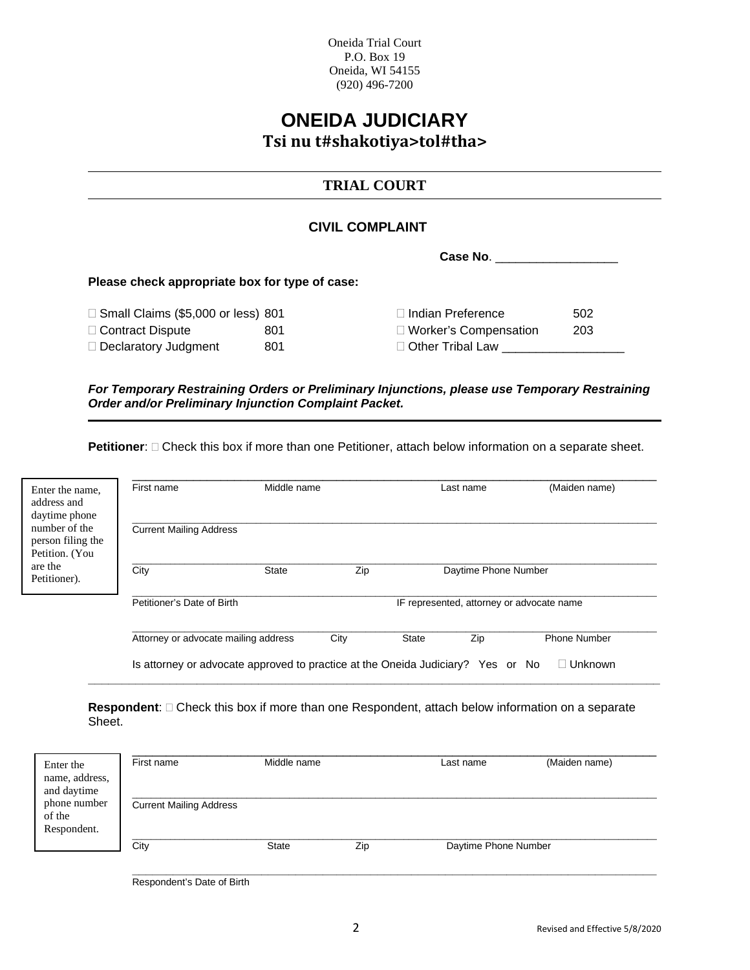## **ONEIDA JUDICIARY Tsi nu t#shakotiya>tol#tha>**

## **TRIAL COURT**

#### **CIVIL COMPLAINT**

**Case No**. \_\_\_\_\_\_\_\_\_\_\_\_\_\_\_\_\_\_

#### **Please check appropriate box for type of case:**

□ Small Claims (\$5,000 or less) 801

□ Contract Dispute 801

Declaratory Judgment 801

| $\Box$ Indian Preference | 502 |
|--------------------------|-----|
| □ Worker's Compensation  | 203 |
| $\Box$ Other Tribal Law  |     |

*For Temporary Restraining Orders or Preliminary Injunctions, please use Temporary Restraining Order and/or Preliminary Injunction Complaint Packet.* 

**Petitioner**:  $\Box$  Check this box if more than one Petitioner, attach below information on a separate sheet.

| Enter the name,<br>address and<br>daytime phone      | First name                                                                      | Middle name  |      |              | Last name            | (Maiden name)                             |
|------------------------------------------------------|---------------------------------------------------------------------------------|--------------|------|--------------|----------------------|-------------------------------------------|
| number of the<br>person filing the<br>Petition. (You | <b>Current Mailing Address</b>                                                  |              |      |              |                      |                                           |
| are the<br>Petitioner).                              | City                                                                            | <b>State</b> | Zip  |              | Daytime Phone Number |                                           |
|                                                      | Petitioner's Date of Birth                                                      |              |      |              |                      | IF represented, attorney or advocate name |
|                                                      | Attorney or advocate mailing address                                            |              | City | <b>State</b> | Zip                  | <b>Phone Number</b>                       |
|                                                      | Is attorney or advocate approved to practice at the Oneida Judiciary? Yes or No |              |      |              |                      | Unknown                                   |

Respondent:  $\square$  Check this box if more than one Respondent, attach below information on a separate Sheet.

**\_\_\_\_\_\_\_\_\_\_\_\_\_\_\_\_\_\_\_\_\_\_\_\_\_\_\_\_\_\_\_\_\_\_\_\_\_\_\_\_\_\_\_\_\_\_\_\_\_\_\_\_\_\_\_\_\_\_\_\_\_\_\_\_\_\_\_\_\_\_\_\_\_\_\_\_\_\_\_\_\_\_\_\_**

| Enter the<br>name, address,<br>and daytime | First name                     | Middle name  |     | Last name            | (Maiden name) |
|--------------------------------------------|--------------------------------|--------------|-----|----------------------|---------------|
| phone number<br>of the<br>Respondent.      | <b>Current Mailing Address</b> |              |     |                      |               |
|                                            | City                           | <b>State</b> | Zip | Daytime Phone Number |               |

**\_\_\_\_\_\_\_\_\_\_\_\_\_\_\_\_\_\_\_\_\_\_\_\_\_\_\_\_\_\_\_\_\_\_\_\_\_\_\_\_\_\_\_\_\_\_\_\_\_\_\_\_\_\_\_\_\_\_\_\_\_\_\_\_\_\_\_\_\_\_\_\_\_\_\_\_\_** Respondent's Date of Birth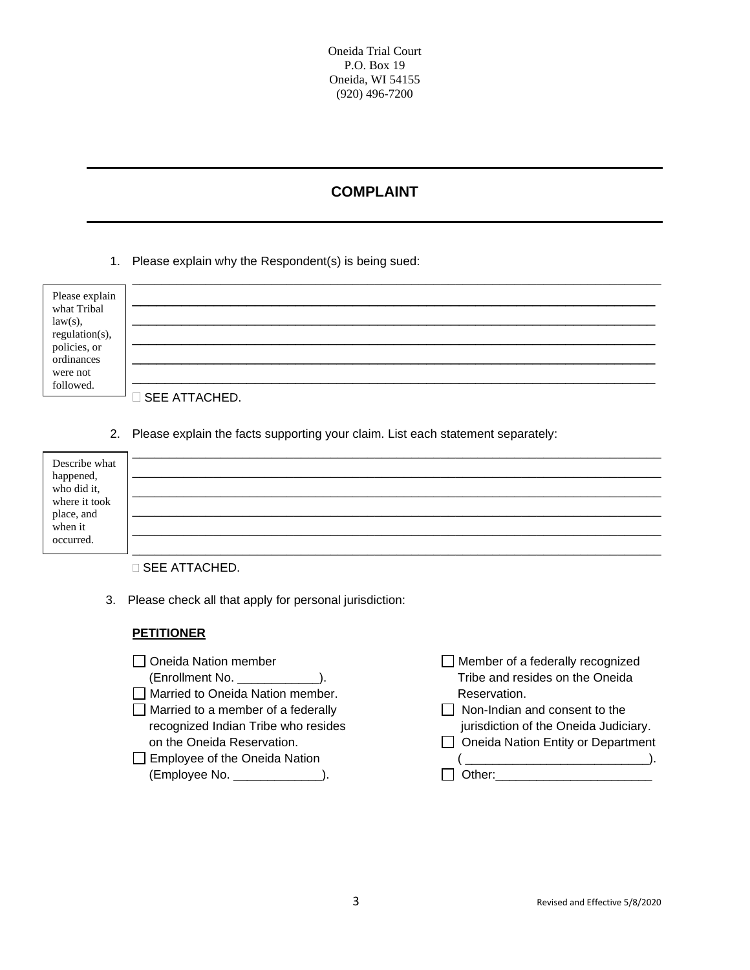## **COMPLAINT**

#### 1. Please explain why the Respondent(s) is being sued:

| Please explain<br>what Tribal<br>law(s),<br>regulation(s),<br>policies, or |               |
|----------------------------------------------------------------------------|---------------|
|                                                                            |               |
|                                                                            |               |
| ordinances                                                                 |               |
| were not                                                                   |               |
| followed.                                                                  |               |
|                                                                            | SEE ATTACHED. |

2. Please explain the facts supporting your claim. List each statement separately:

| Describe what                             |  |
|-------------------------------------------|--|
| happened,<br>who did it,<br>where it took |  |
|                                           |  |
| place, and<br>when it                     |  |
| occurred.                                 |  |

**SEE ATTACHED.** 

3. Please check all that apply for personal jurisdiction:

## **PETITIONER**

| Oneida Nation member                      | □ Member of a federally recognized                  |
|-------------------------------------------|-----------------------------------------------------|
| (Enrollment No. _______________).         | Tribe and resides on the Oneida                     |
| Married to Oneida Nation member.          | Reservation.                                        |
| $\Box$ Married to a member of a federally | $\Box$ Non-Indian and consent to the                |
| recognized Indian Tribe who resides       | jurisdiction of the Oneida Judiciary.               |
| on the Oneida Reservation.                | □ Oneida Nation Entity or Department                |
| $\Box$ Employee of the Oneida Nation      | <u> 1989 - Jan James James Barbara, martxa al I</u> |
| $(Employee No. \_ \_ \_ \_ \_ \_ \_).$    |                                                     |
|                                           |                                                     |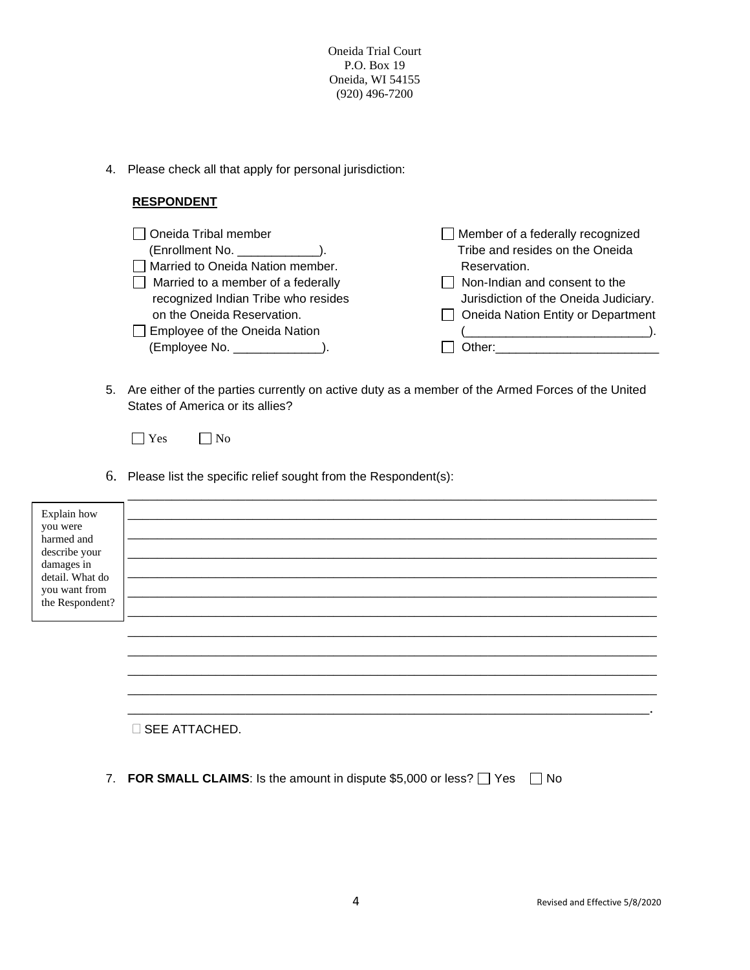4. Please check all that apply for personal jurisdiction:

#### **RESPONDENT**

| $\Box$ Oneida Tribal member               | $\Box$ Member of a federally recognized   |
|-------------------------------------------|-------------------------------------------|
| (Enrollment No. ______________).          | Tribe and resides on the Oneida           |
| Married to Oneida Nation member.          | Reservation.                              |
| $\Box$ Married to a member of a federally | $\Box$ Non-Indian and consent to the      |
| recognized Indian Tribe who resides       | Jurisdiction of the Oneida Judiciary.     |
| on the Oneida Reservation.                | $\Box$ Oneida Nation Entity or Department |
| $\Box$ Employee of the Oneida Nation      |                                           |
| (Employee No. ______________).            | Other: _________________________          |
|                                           |                                           |

5. Are either of the parties currently on active duty as a member of the Armed Forces of the United States of America or its allies?

□ Yes □ No

6. Please list the specific relief sought from the Respondent(s):

| Explain how                   |                        |
|-------------------------------|------------------------|
| you were                      |                        |
| harmed and<br>describe your   |                        |
| damages in<br>detail. What do |                        |
| you want from                 |                        |
| the Respondent?               |                        |
|                               |                        |
|                               |                        |
|                               |                        |
|                               |                        |
|                               |                        |
|                               | <b>D</b> SEE ATTACHED. |

7. **FOR SMALL CLAIMS**: Is the amount in dispute \$5,000 or less?  $\Box$  Yes  $\Box$  No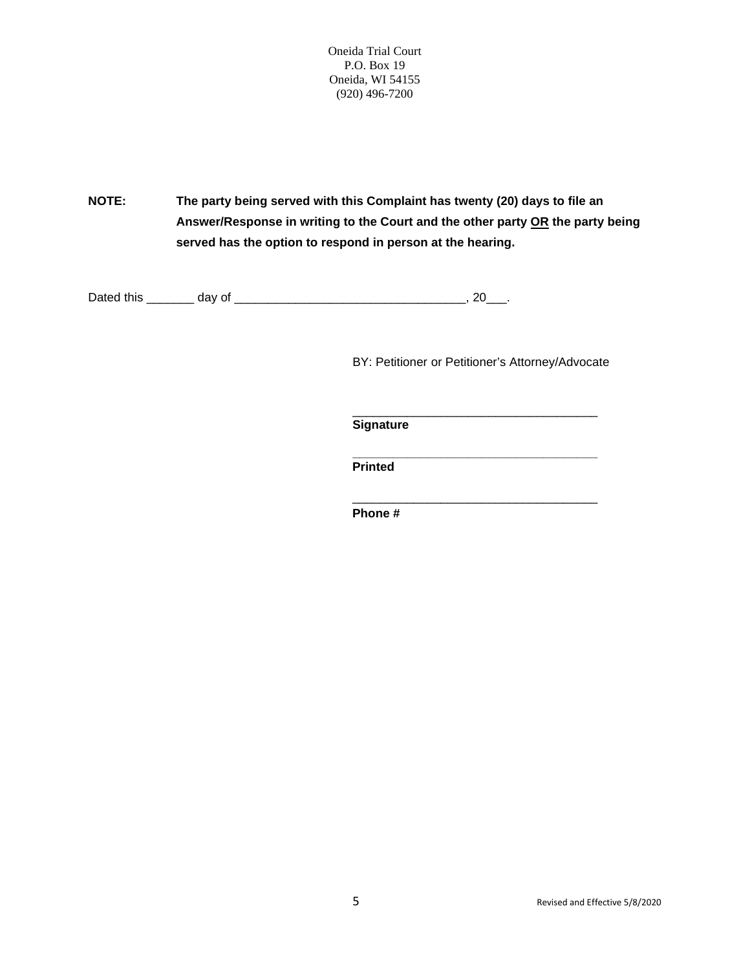**NOTE: The party being served with this Complaint has twenty (20) days to file an Answer/Response in writing to the Court and the other party OR the party being served has the option to respond in person at the hearing.**

Dated this \_\_\_\_\_\_\_ day of \_\_\_\_\_\_\_\_\_\_\_\_\_\_\_\_\_\_\_\_\_\_\_\_\_\_\_\_\_\_\_\_\_\_, 20\_\_\_.

BY: Petitioner or Petitioner's Attorney/Advocate

\_\_\_\_\_\_\_\_\_\_\_\_\_\_\_\_\_\_\_\_\_\_\_\_\_\_\_\_\_\_\_\_\_\_\_\_

\_\_\_\_\_\_\_\_\_\_\_\_\_\_\_\_\_\_\_\_\_\_\_\_\_\_\_\_\_\_\_\_\_\_\_\_ **Signature**

 **\_\_\_\_\_\_\_\_\_\_\_\_\_\_\_\_\_\_\_\_\_\_\_\_\_\_\_\_\_\_\_\_\_\_\_\_ Printed**

**Phone #**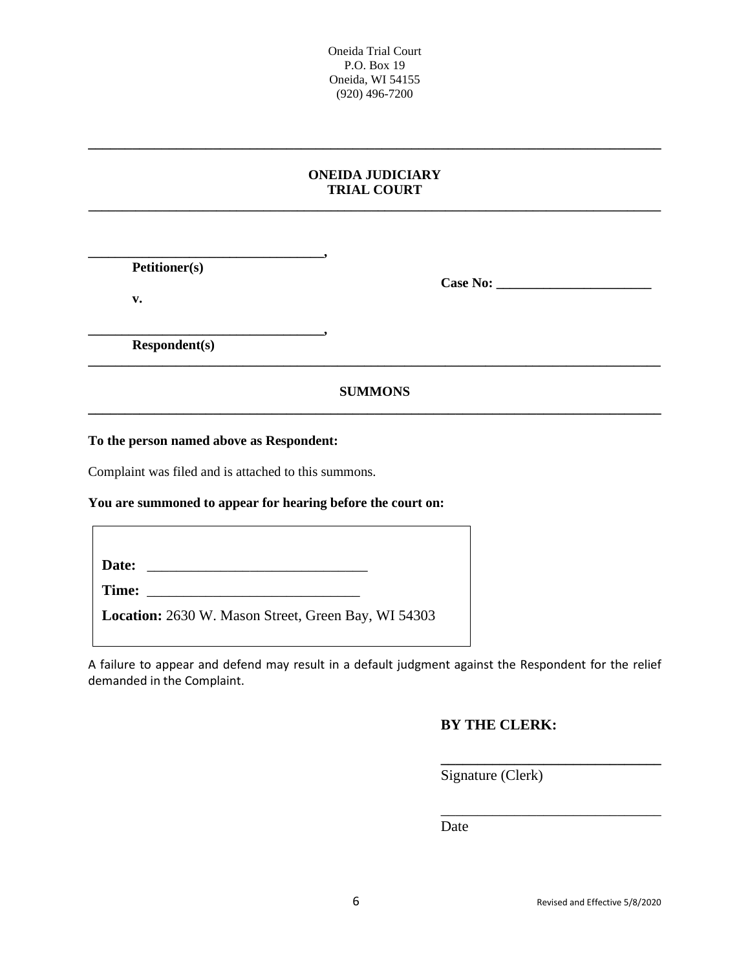#### **ONEIDA JUDICIARY TRIAL COURT \_\_\_\_\_\_\_\_\_\_\_\_\_\_\_\_\_\_\_\_\_\_\_\_\_\_\_\_\_\_\_\_\_\_\_\_\_\_\_\_\_\_\_\_\_\_\_\_\_\_\_\_\_\_\_\_\_\_\_\_\_\_\_\_\_\_\_\_\_\_\_\_\_\_\_\_\_\_\_\_\_\_\_\_\_**

**\_\_\_\_\_\_\_\_\_\_\_\_\_\_\_\_\_\_\_\_\_\_\_\_\_\_\_\_\_\_\_\_\_\_\_\_\_\_\_\_\_\_\_\_\_\_\_\_\_\_\_\_\_\_\_\_\_\_\_\_\_\_\_\_\_\_\_\_\_\_\_\_\_\_\_\_\_\_**

**\_\_\_\_\_\_\_\_\_\_\_\_\_\_\_\_\_\_\_\_\_\_\_\_\_\_\_\_\_\_\_\_\_\_\_, Petitioner(s)**

**v.**

**Case No: \_\_\_\_\_\_\_\_\_\_\_\_\_\_\_\_\_\_\_\_\_\_\_**

**\_\_\_\_\_\_\_\_\_\_\_\_\_\_\_\_\_\_\_\_\_\_\_\_\_\_\_\_\_\_\_\_\_\_\_, Respondent(s)**

## **SUMMONS \_\_\_\_\_\_\_\_\_\_\_\_\_\_\_\_\_\_\_\_\_\_\_\_\_\_\_\_\_\_\_\_\_\_\_\_\_\_\_\_\_\_\_\_\_\_\_\_\_\_\_\_\_\_\_\_\_\_\_\_\_\_\_\_\_\_\_\_\_\_\_\_\_\_\_\_\_\_**

**\_\_\_\_\_\_\_\_\_\_\_\_\_\_\_\_\_\_\_\_\_\_\_\_\_\_\_\_\_\_\_\_\_\_\_\_\_\_\_\_\_\_\_\_\_\_\_\_\_\_\_\_\_\_\_\_\_\_\_\_\_\_\_\_\_\_\_\_\_\_\_\_\_\_\_\_\_\_\_\_\_\_\_\_\_**

**To the person named above as Respondent:**

Complaint was filed and is attached to this summons.

#### **You are summoned to appear for hearing before the court on:**

Date: **Time:**  $\blacksquare$ **Location:** 2630 W. Mason Street, Green Bay, WI 54303

A failure to appear and defend may result in a default judgment against the Respondent for the relief demanded in the Complaint.

## **BY THE CLERK:**

**\_\_\_\_\_\_\_\_\_\_\_\_\_\_\_\_\_\_\_\_\_\_\_\_\_\_\_\_\_\_**

\_\_\_\_\_\_\_\_\_\_\_\_\_\_\_\_\_\_\_\_\_\_\_\_\_\_\_\_\_\_

Signature (Clerk)

Date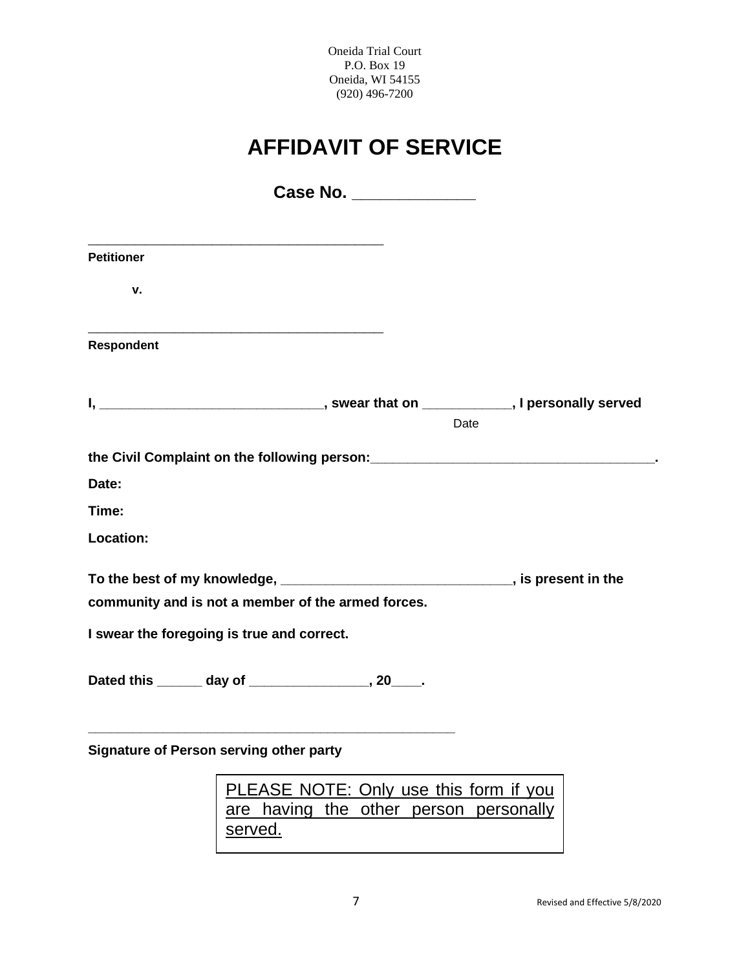# **AFFIDAVIT OF SERVICE**

| <b>Petitioner</b>                                                                                                                      |                                        |
|----------------------------------------------------------------------------------------------------------------------------------------|----------------------------------------|
| v.                                                                                                                                     |                                        |
| <b>Respondent</b>                                                                                                                      |                                        |
|                                                                                                                                        |                                        |
|                                                                                                                                        | Date                                   |
| the Civil Complaint on the following person: ___________________________________                                                       |                                        |
| Date:                                                                                                                                  |                                        |
| Time:                                                                                                                                  |                                        |
| Location:                                                                                                                              |                                        |
| To the best of my knowledge, ________________________________, is present in the<br>community and is not a member of the armed forces. |                                        |
| I swear the foregoing is true and correct.                                                                                             |                                        |
| Dated this ______ day of _______________, 20____.                                                                                      |                                        |
| Signature of Person serving other party                                                                                                |                                        |
|                                                                                                                                        | PLEASE NOTE: Only use this form if you |
|                                                                                                                                        | are having the other person personally |

served.